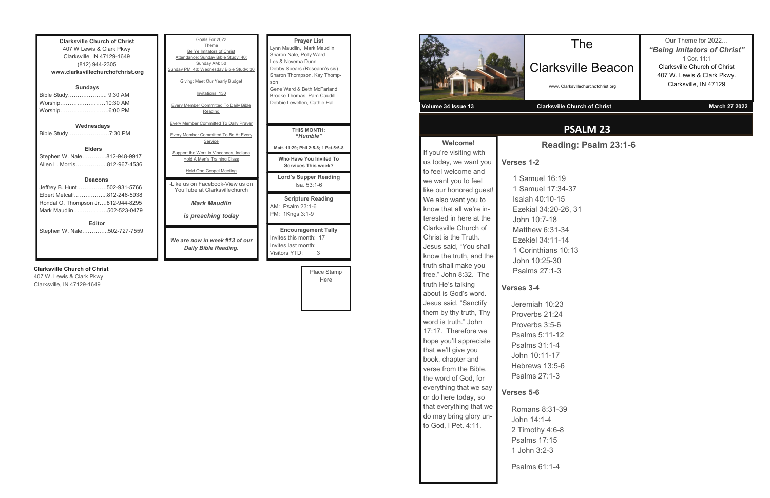**Clarksville Church of Christ** 407 W Lewis & Clark Pkwy Clarksville, IN 47129-1649 (812) 944-2305 **www.clarksvillechurchofchrist.org Sundays** Bible Study………………... 9:30 AM Worship……………………10:30 AM Worship……………………..6:00 PM **Wednesdays** Bible Study………………….7:30 PM **Elders** Stephen W. Nale………….812-948-9917 Allen L. Morris……………..812-967-4536

#### **Deacons**

| <b>Editor</b>                     |  |  |
|-----------------------------------|--|--|
| Mark Maudlin502-523-0479          |  |  |
| Rondal O. Thompson Jr812-944-8295 |  |  |
| Elbert Metcalf812-246-5938        |  |  |
| Jeffrey B. Hunt502-931-5766       |  |  |

Stephen W. Nale…………..502-727-7559

#### **Clarksville Church of Christ**

407 W. Lewis & Clark Pkwy Clarksville, IN 47129-1649

| Goals For 2022                                                                                                                                     | <b>Prayer List</b>                                                                                |
|----------------------------------------------------------------------------------------------------------------------------------------------------|---------------------------------------------------------------------------------------------------|
| Theme                                                                                                                                              | Lynn Maudlin, Mark Maudlin                                                                        |
| Be Ye Imitators of Christ                                                                                                                          | Sharon Nale, Polly Ward                                                                           |
| Attendance: Sunday Bible Study: 40;                                                                                                                | Les & Novema Dunn                                                                                 |
| Sunday AM: 50                                                                                                                                      | Debby Spears (Roseann's sis)                                                                      |
| Sunday PM: 40; Wednesday Bible Study: 30                                                                                                           | Sharon Thompson, Kay Thomp-                                                                       |
| Giving: Meet Our Yearly Budget                                                                                                                     | son                                                                                               |
| Invitations: 130                                                                                                                                   | Gene Ward & Beth McFarland                                                                        |
| <b>Every Member Committed To Daily Bible</b>                                                                                                       | Brooke Thomas, Pam Caudill                                                                        |
| Reading                                                                                                                                            | Debbie Lewellen, Cathie Hall                                                                      |
| <b>Every Member Committed To Daily Prayer</b><br><b>Every Member Committed To Be At Every</b><br>Service<br>Support the Work in Vincennes, Indiana | <b>THIS MONTH:</b><br>"Humble"<br>Matt. 11:29; Phil 2:5-8; 1 Pet.5:5-8                            |
| <b>Hold A Men's Training Class</b>                                                                                                                 | Who Have You Invited To                                                                           |
| Hold One Gospel Meeting                                                                                                                            | Services This week?                                                                               |
| - like us on Facebook-View us on                                                                                                                   | <b>Lord's Supper Reading</b>                                                                      |
| YouTube at Clarksvillechurch                                                                                                                       | $Isa. 53:1-6$                                                                                     |
| <b>Mark Maudlin</b><br>is preaching today                                                                                                          | <b>Scripture Reading</b><br>AM: Psalm 23:1-6<br>PM: 1Kngs 3:1-9                                   |
| We are now in week #13 of our<br>Daily Bible Reading.                                                                                              | <b>Encouragement Tally</b><br>Invites this month: 17<br>Invites last month:<br>Visitors YTD:<br>3 |

Place Stamp Here



book, chapter and verse from the Bible, the word of God, for everything that we say or do here today, so that everything that we do may bring glory unto God, I Pet. 4:11.

## **PSALM 23**

Clarksville Church of Christ is the Truth. Jesus said, "You shall know the truth, and the truth shall make you free." John 8:32. The truth He's talking about is God's word. Jesus said, "Sanctify them by thy truth, Thy word is truth." John 17:17. Therefore we hope you'll appreciate that we'll give you John 10:7-18 Matthew 6:31-34 Ezekiel 34:11-14 1 Corinthians 10:13 John 10:25-30 Psalms 27:1-3 **Verses 3-4** Jeremiah 10:23 Proverbs 21:24

## Clarksville Beacon

www. Clarksvillechurchofchrist.org

Our Theme for 2022… *"Being Imitators of Christ"* 1 Cor. 11:1 Clarksville Church of Christ 407 W. Lewis & Clark Pkwy. Clarksville, IN 47129

**Reading: Psalm 23:1-6**

### Proverbs 3:5-6 Psalms 5:11-12 Psalms 31:1-4 John 10:11-17 Hebrews 13:5-6 Psalms 27:1-3

### **Verses 5-6**

Romans 8:31-39 John 14:1-4 2 Timothy 4:6-8 Psalms 17:15 1 John 3:2-3

Psalms 61:1-4